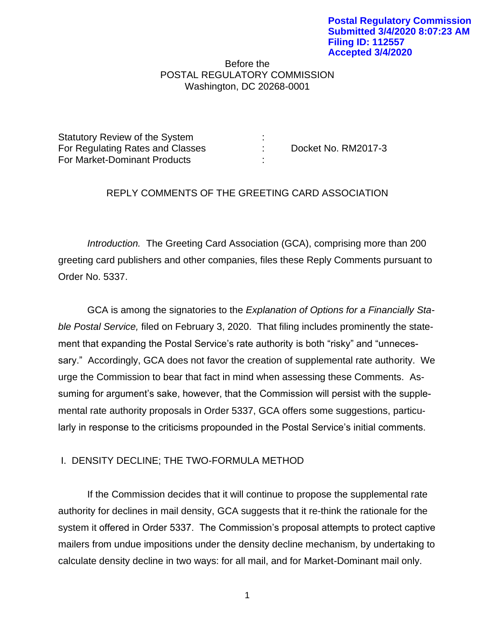## Before the POSTAL REGULATORY COMMISSION Washington, DC 20268-0001

| Statutory Review of the System   |                     |
|----------------------------------|---------------------|
| For Regulating Rates and Classes | Docket No. RM2017-3 |
| For Market-Dominant Products     |                     |

## REPLY COMMENTS OF THE GREETING CARD ASSOCIATION

*Introduction.* The Greeting Card Association (GCA), comprising more than 200 greeting card publishers and other companies, files these Reply Comments pursuant to Order No. 5337.

GCA is among the signatories to the *Explanation of Options for a Financially Stable Postal Service,* filed on February 3, 2020. That filing includes prominently the statement that expanding the Postal Service's rate authority is both "risky" and "unnecessary." Accordingly, GCA does not favor the creation of supplemental rate authority. We urge the Commission to bear that fact in mind when assessing these Comments. Assuming for argument's sake, however, that the Commission will persist with the supplemental rate authority proposals in Order 5337, GCA offers some suggestions, particularly in response to the criticisms propounded in the Postal Service's initial comments.

## I. DENSITY DECLINE; THE TWO-FORMULA METHOD

If the Commission decides that it will continue to propose the supplemental rate authority for declines in mail density, GCA suggests that it re-think the rationale for the system it offered in Order 5337. The Commission's proposal attempts to protect captive mailers from undue impositions under the density decline mechanism, by undertaking to calculate density decline in two ways: for all mail, and for Market-Dominant mail only.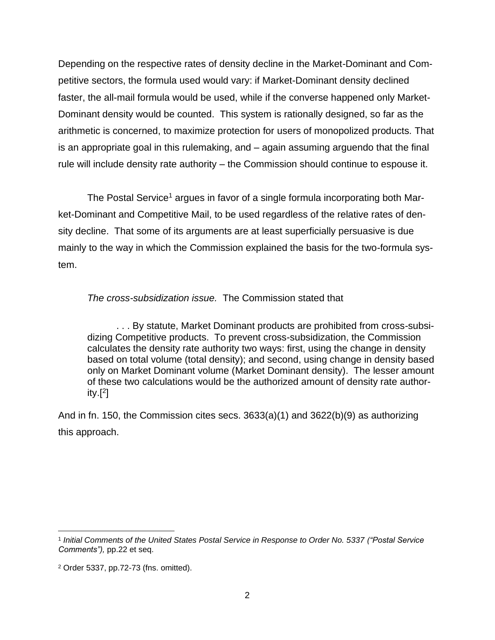Depending on the respective rates of density decline in the Market-Dominant and Competitive sectors, the formula used would vary: if Market-Dominant density declined faster, the all-mail formula would be used, while if the converse happened only Market-Dominant density would be counted. This system is rationally designed, so far as the arithmetic is concerned, to maximize protection for users of monopolized products. That is an appropriate goal in this rulemaking, and – again assuming arguendo that the final rule will include density rate authority – the Commission should continue to espouse it.

The Postal Service<sup>1</sup> argues in favor of a single formula incorporating both Market-Dominant and Competitive Mail, to be used regardless of the relative rates of density decline. That some of its arguments are at least superficially persuasive is due mainly to the way in which the Commission explained the basis for the two-formula system.

*The cross-subsidization issue.* The Commission stated that

. . . By statute, Market Dominant products are prohibited from cross-subsidizing Competitive products. To prevent cross-subsidization, the Commission calculates the density rate authority two ways: first, using the change in density based on total volume (total density); and second, using change in density based only on Market Dominant volume (Market Dominant density). The lesser amount of these two calculations would be the authorized amount of density rate authority. $[$ <sup>2</sup>]

And in fn. 150, the Commission cites secs.  $3633(a)(1)$  and  $3622(b)(9)$  as authorizing this approach.

<sup>1</sup> *Initial Comments of the United States Postal Service in Response to Order No. 5337 ("Postal Service Comments"),* pp.22 et seq.

<sup>2</sup> Order 5337, pp.72-73 (fns. omitted).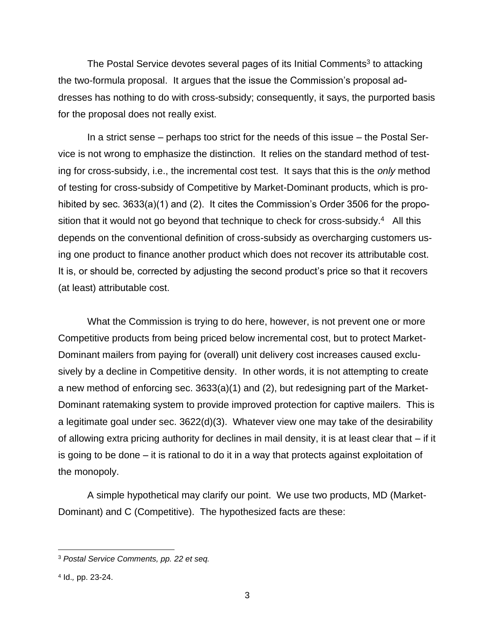The Postal Service devotes several pages of its Initial Comments<sup>3</sup> to attacking the two-formula proposal. It argues that the issue the Commission's proposal addresses has nothing to do with cross-subsidy; consequently, it says, the purported basis for the proposal does not really exist.

In a strict sense – perhaps too strict for the needs of this issue – the Postal Service is not wrong to emphasize the distinction. It relies on the standard method of testing for cross-subsidy, i.e., the incremental cost test. It says that this is the *only* method of testing for cross-subsidy of Competitive by Market-Dominant products, which is prohibited by sec. 3633(a)(1) and (2). It cites the Commission's Order 3506 for the proposition that it would not go beyond that technique to check for cross-subsidy.<sup>4</sup> All this depends on the conventional definition of cross-subsidy as overcharging customers using one product to finance another product which does not recover its attributable cost. It is, or should be, corrected by adjusting the second product's price so that it recovers (at least) attributable cost.

What the Commission is trying to do here, however, is not prevent one or more Competitive products from being priced below incremental cost, but to protect Market-Dominant mailers from paying for (overall) unit delivery cost increases caused exclusively by a decline in Competitive density. In other words, it is not attempting to create a new method of enforcing sec. 3633(a)(1) and (2), but redesigning part of the Market-Dominant ratemaking system to provide improved protection for captive mailers. This is a legitimate goal under sec. 3622(d)(3). Whatever view one may take of the desirability of allowing extra pricing authority for declines in mail density, it is at least clear that – if it is going to be done – it is rational to do it in a way that protects against exploitation of the monopoly.

A simple hypothetical may clarify our point. We use two products, MD (Market-Dominant) and C (Competitive). The hypothesized facts are these:

<sup>3</sup> *Postal Service Comments, pp. 22 et seq.*

<sup>4</sup> Id.*,* pp. 23-24.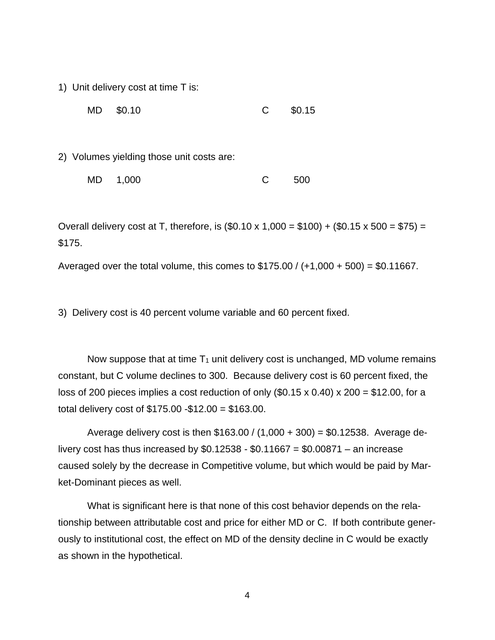1) Unit delivery cost at time T is:

MD \$0.10 C \$0.15

2) Volumes yielding those unit costs are:

| MD 1,000 | 500 |
|----------|-----|
|          |     |

Overall delivery cost at T, therefore, is  $(\$0.10 \times 1,000 = \$100) + (\$0.15 \times 500 = \$75) =$ \$175.

Averaged over the total volume, this comes to  $$175.00 / (+1,000 + 500) = $0.11667$ .

3) Delivery cost is 40 percent volume variable and 60 percent fixed.

Now suppose that at time  $T_1$  unit delivery cost is unchanged, MD volume remains constant, but C volume declines to 300. Because delivery cost is 60 percent fixed, the loss of 200 pieces implies a cost reduction of only  $(\$0.15 \times 0.40) \times 200 = \$12.00$ , for a total delivery cost of \$175.00 -\$12.00 = \$163.00.

Average delivery cost is then  $$163.00 / (1,000 + 300) = $0.12538$ . Average delivery cost has thus increased by  $$0.12538 - $0.11667 = $0.00871 - an increase$ caused solely by the decrease in Competitive volume, but which would be paid by Market-Dominant pieces as well.

What is significant here is that none of this cost behavior depends on the relationship between attributable cost and price for either MD or C. If both contribute generously to institutional cost, the effect on MD of the density decline in C would be exactly as shown in the hypothetical.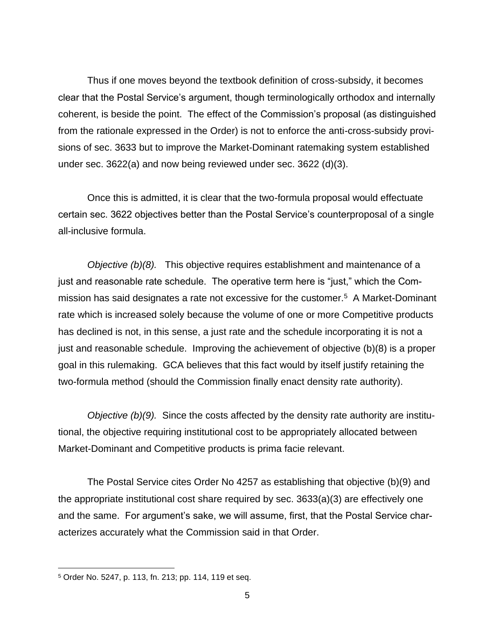Thus if one moves beyond the textbook definition of cross-subsidy, it becomes clear that the Postal Service's argument, though terminologically orthodox and internally coherent, is beside the point. The effect of the Commission's proposal (as distinguished from the rationale expressed in the Order) is not to enforce the anti-cross-subsidy provisions of sec. 3633 but to improve the Market-Dominant ratemaking system established under sec. 3622(a) and now being reviewed under sec. 3622 (d)(3).

Once this is admitted, it is clear that the two-formula proposal would effectuate certain sec. 3622 objectives better than the Postal Service's counterproposal of a single all-inclusive formula.

*Objective (b)(8).* This objective requires establishment and maintenance of a just and reasonable rate schedule. The operative term here is "just," which the Commission has said designates a rate not excessive for the customer.<sup>5</sup> A Market-Dominant rate which is increased solely because the volume of one or more Competitive products has declined is not, in this sense, a just rate and the schedule incorporating it is not a just and reasonable schedule. Improving the achievement of objective (b)(8) is a proper goal in this rulemaking. GCA believes that this fact would by itself justify retaining the two-formula method (should the Commission finally enact density rate authority).

*Objective (b)(9).* Since the costs affected by the density rate authority are institutional, the objective requiring institutional cost to be appropriately allocated between Market-Dominant and Competitive products is prima facie relevant.

The Postal Service cites Order No 4257 as establishing that objective (b)(9) and the appropriate institutional cost share required by sec. 3633(a)(3) are effectively one and the same. For argument's sake, we will assume, first, that the Postal Service characterizes accurately what the Commission said in that Order.

<sup>5</sup> Order No. 5247, p. 113, fn. 213; pp. 114, 119 et seq.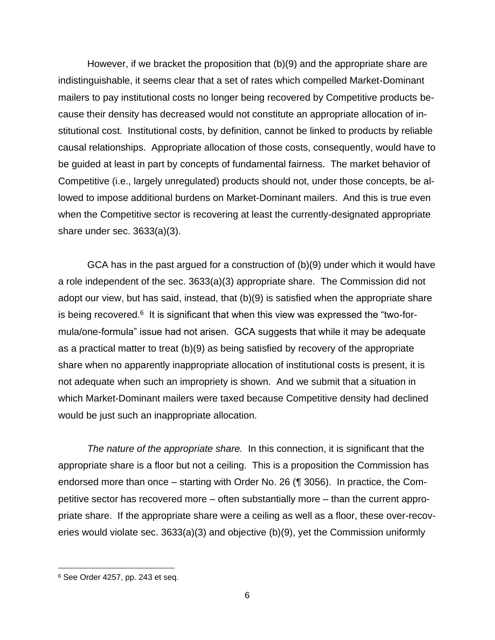However, if we bracket the proposition that (b)(9) and the appropriate share are indistinguishable, it seems clear that a set of rates which compelled Market-Dominant mailers to pay institutional costs no longer being recovered by Competitive products because their density has decreased would not constitute an appropriate allocation of institutional cost. Institutional costs, by definition, cannot be linked to products by reliable causal relationships. Appropriate allocation of those costs, consequently, would have to be guided at least in part by concepts of fundamental fairness. The market behavior of Competitive (i.e., largely unregulated) products should not, under those concepts, be allowed to impose additional burdens on Market-Dominant mailers. And this is true even when the Competitive sector is recovering at least the currently-designated appropriate share under sec. 3633(a)(3).

GCA has in the past argued for a construction of (b)(9) under which it would have a role independent of the sec. 3633(a)(3) appropriate share. The Commission did not adopt our view, but has said, instead, that (b)(9) is satisfied when the appropriate share is being recovered. $6$  It is significant that when this view was expressed the "two-formula/one-formula" issue had not arisen. GCA suggests that while it may be adequate as a practical matter to treat (b)(9) as being satisfied by recovery of the appropriate share when no apparently inappropriate allocation of institutional costs is present, it is not adequate when such an impropriety is shown. And we submit that a situation in which Market-Dominant mailers were taxed because Competitive density had declined would be just such an inappropriate allocation.

*The nature of the appropriate share.* In this connection, it is significant that the appropriate share is a floor but not a ceiling. This is a proposition the Commission has endorsed more than once – starting with Order No. 26 (¶ 3056). In practice, the Competitive sector has recovered more – often substantially more – than the current appropriate share. If the appropriate share were a ceiling as well as a floor, these over-recoveries would violate sec. 3633(a)(3) and objective (b)(9), yet the Commission uniformly

<sup>6</sup> See Order 4257, pp. 243 et seq.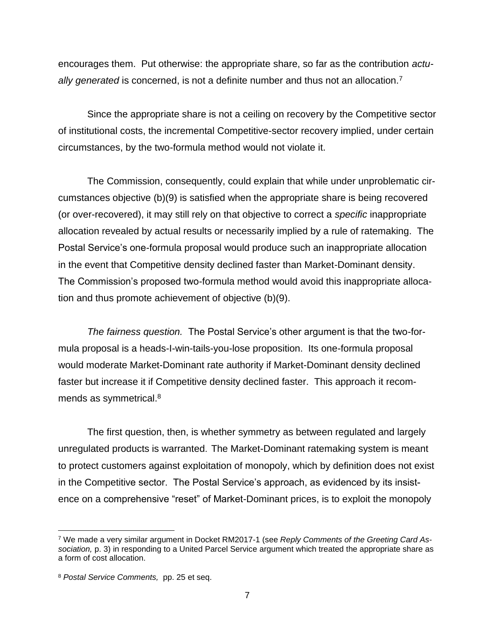encourages them. Put otherwise: the appropriate share, so far as the contribution *actu*ally generated is concerned, is not a definite number and thus not an allocation.<sup>7</sup>

Since the appropriate share is not a ceiling on recovery by the Competitive sector of institutional costs, the incremental Competitive-sector recovery implied, under certain circumstances, by the two-formula method would not violate it.

The Commission, consequently, could explain that while under unproblematic circumstances objective (b)(9) is satisfied when the appropriate share is being recovered (or over-recovered), it may still rely on that objective to correct a *specific* inappropriate allocation revealed by actual results or necessarily implied by a rule of ratemaking. The Postal Service's one-formula proposal would produce such an inappropriate allocation in the event that Competitive density declined faster than Market-Dominant density. The Commission's proposed two-formula method would avoid this inappropriate allocation and thus promote achievement of objective (b)(9).

*The fairness question.* The Postal Service's other argument is that the two-formula proposal is a heads-I-win-tails-you-lose proposition. Its one-formula proposal would moderate Market-Dominant rate authority if Market-Dominant density declined faster but increase it if Competitive density declined faster. This approach it recommends as symmetrical.<sup>8</sup>

The first question, then, is whether symmetry as between regulated and largely unregulated products is warranted. The Market-Dominant ratemaking system is meant to protect customers against exploitation of monopoly, which by definition does not exist in the Competitive sector. The Postal Service's approach, as evidenced by its insistence on a comprehensive "reset" of Market-Dominant prices, is to exploit the monopoly

<sup>7</sup> We made a very similar argument in Docket RM2017-1 (see *Reply Comments of the Greeting Card Association,* p. 3) in responding to a United Parcel Service argument which treated the appropriate share as a form of cost allocation.

<sup>8</sup> *Postal Service Comments,* pp. 25 et seq.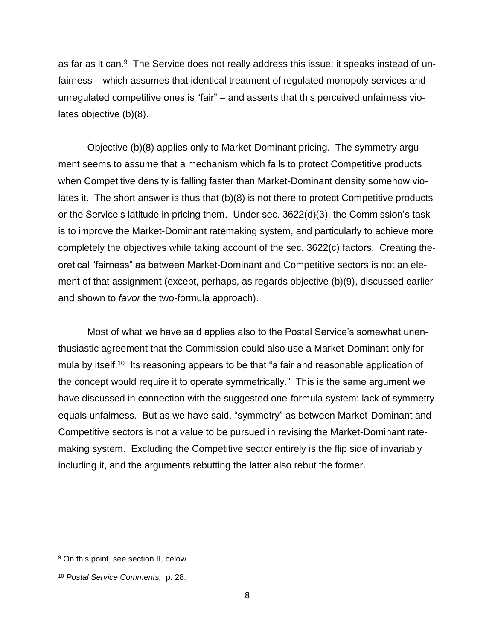as far as it can.<sup>9</sup> The Service does not really address this issue; it speaks instead of unfairness – which assumes that identical treatment of regulated monopoly services and unregulated competitive ones is "fair" – and asserts that this perceived unfairness violates objective (b)(8).

Objective (b)(8) applies only to Market-Dominant pricing. The symmetry argument seems to assume that a mechanism which fails to protect Competitive products when Competitive density is falling faster than Market-Dominant density somehow violates it. The short answer is thus that (b)(8) is not there to protect Competitive products or the Service's latitude in pricing them. Under sec. 3622(d)(3), the Commission's task is to improve the Market-Dominant ratemaking system, and particularly to achieve more completely the objectives while taking account of the sec. 3622(c) factors. Creating theoretical "fairness" as between Market-Dominant and Competitive sectors is not an element of that assignment (except, perhaps, as regards objective (b)(9), discussed earlier and shown to *favor* the two-formula approach).

Most of what we have said applies also to the Postal Service's somewhat unenthusiastic agreement that the Commission could also use a Market-Dominant-only formula by itself.<sup>10</sup> Its reasoning appears to be that "a fair and reasonable application of the concept would require it to operate symmetrically." This is the same argument we have discussed in connection with the suggested one-formula system: lack of symmetry equals unfairness. But as we have said, "symmetry" as between Market-Dominant and Competitive sectors is not a value to be pursued in revising the Market-Dominant ratemaking system. Excluding the Competitive sector entirely is the flip side of invariably including it, and the arguments rebutting the latter also rebut the former.

<sup>&</sup>lt;sup>9</sup> On this point, see section II, below.

<sup>10</sup> *Postal Service Comments,* p. 28.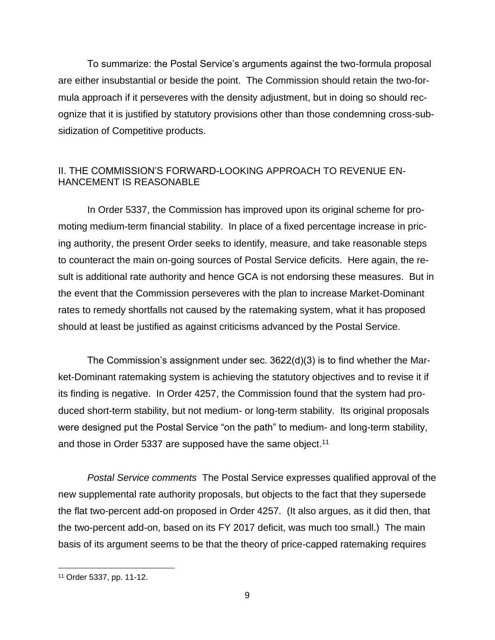To summarize: the Postal Service's arguments against the two-formula proposal are either insubstantial or beside the point. The Commission should retain the two-formula approach if it perseveres with the density adjustment, but in doing so should recognize that it is justified by statutory provisions other than those condemning cross-subsidization of Competitive products.

## II. THE COMMISSION'S FORWARD-LOOKING APPROACH TO REVENUE EN-HANCEMENT IS REASONABLE

In Order 5337, the Commission has improved upon its original scheme for promoting medium-term financial stability. In place of a fixed percentage increase in pricing authority, the present Order seeks to identify, measure, and take reasonable steps to counteract the main on-going sources of Postal Service deficits. Here again, the result is additional rate authority and hence GCA is not endorsing these measures. But in the event that the Commission perseveres with the plan to increase Market-Dominant rates to remedy shortfalls not caused by the ratemaking system, what it has proposed should at least be justified as against criticisms advanced by the Postal Service.

The Commission's assignment under sec. 3622(d)(3) is to find whether the Market-Dominant ratemaking system is achieving the statutory objectives and to revise it if its finding is negative. In Order 4257, the Commission found that the system had produced short-term stability, but not medium- or long-term stability. Its original proposals were designed put the Postal Service "on the path" to medium- and long-term stability, and those in Order 5337 are supposed have the same object.<sup>11</sup>

*Postal Service comments* The Postal Service expresses qualified approval of the new supplemental rate authority proposals, but objects to the fact that they supersede the flat two-percent add-on proposed in Order 4257. (It also argues, as it did then, that the two-percent add-on, based on its FY 2017 deficit, was much too small.) The main basis of its argument seems to be that the theory of price-capped ratemaking requires

<sup>11</sup> Order 5337, pp. 11-12.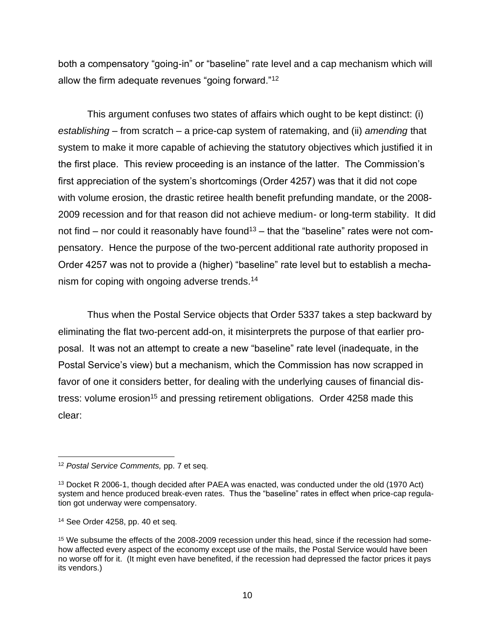both a compensatory "going-in" or "baseline" rate level and a cap mechanism which will allow the firm adequate revenues "going forward."<sup>12</sup>

This argument confuses two states of affairs which ought to be kept distinct: (i) *establishing* – from scratch – a price-cap system of ratemaking, and (ii) *amending* that system to make it more capable of achieving the statutory objectives which justified it in the first place. This review proceeding is an instance of the latter. The Commission's first appreciation of the system's shortcomings (Order 4257) was that it did not cope with volume erosion, the drastic retiree health benefit prefunding mandate, or the 2008- 2009 recession and for that reason did not achieve medium- or long-term stability. It did not find – nor could it reasonably have found<sup>13</sup> – that the "baseline" rates were not compensatory. Hence the purpose of the two-percent additional rate authority proposed in Order 4257 was not to provide a (higher) "baseline" rate level but to establish a mechanism for coping with ongoing adverse trends.<sup>14</sup>

Thus when the Postal Service objects that Order 5337 takes a step backward by eliminating the flat two-percent add-on, it misinterprets the purpose of that earlier proposal. It was not an attempt to create a new "baseline" rate level (inadequate, in the Postal Service's view) but a mechanism, which the Commission has now scrapped in favor of one it considers better, for dealing with the underlying causes of financial distress: volume erosion<sup>15</sup> and pressing retirement obligations. Order 4258 made this clear:

<sup>12</sup> *Postal Service Comments,* pp. 7 et seq.

<sup>&</sup>lt;sup>13</sup> Docket R 2006-1, though decided after PAEA was enacted, was conducted under the old (1970 Act) system and hence produced break-even rates. Thus the "baseline" rates in effect when price-cap regulation got underway were compensatory.

<sup>14</sup> See Order 4258, pp. 40 et seq.

<sup>15</sup> We subsume the effects of the 2008-2009 recession under this head, since if the recession had somehow affected every aspect of the economy except use of the mails, the Postal Service would have been no worse off for it. (It might even have benefited, if the recession had depressed the factor prices it pays its vendors.)